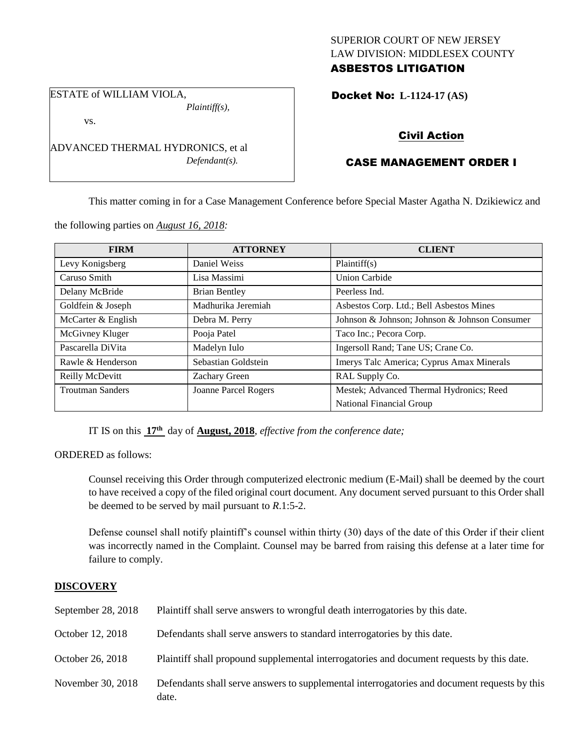### SUPERIOR COURT OF NEW JERSEY LAW DIVISION: MIDDLESEX COUNTY ASBESTOS LITIGATION

ESTATE of WILLIAM VIOLA, *Plaintiff(s),*

vs.

ADVANCED THERMAL HYDRONICS, et al *Defendant(s).*

# Docket No: **L-1124-17 (AS)**

## Civil Action

### CASE MANAGEMENT ORDER I

This matter coming in for a Case Management Conference before Special Master Agatha N. Dzikiewicz and

the following parties on *August 16, 2018:*

| <b>FIRM</b>             | <b>ATTORNEY</b>      | <b>CLIENT</b>                                 |
|-------------------------|----------------------|-----------------------------------------------|
| Levy Konigsberg         | Daniel Weiss         | Plaintiff(s)                                  |
| Caruso Smith            | Lisa Massimi         | <b>Union Carbide</b>                          |
| Delany McBride          | <b>Brian Bentley</b> | Peerless Ind.                                 |
| Goldfein & Joseph       | Madhurika Jeremiah   | Asbestos Corp. Ltd.; Bell Asbestos Mines      |
| McCarter & English      | Debra M. Perry       | Johnson & Johnson; Johnson & Johnson Consumer |
| McGivney Kluger         | Pooja Patel          | Taco Inc.; Pecora Corp.                       |
| Pascarella DiVita       | Madelyn Iulo         | Ingersoll Rand; Tane US; Crane Co.            |
| Rawle & Henderson       | Sebastian Goldstein  | Imerys Talc America; Cyprus Amax Minerals     |
| Reilly McDevitt         | <b>Zachary Green</b> | RAL Supply Co.                                |
| <b>Troutman Sanders</b> | Joanne Parcel Rogers | Mestek; Advanced Thermal Hydronics; Reed      |
|                         |                      | National Financial Group                      |

IT IS on this **17 th** day of **August, 2018**, *effective from the conference date;*

ORDERED as follows:

Counsel receiving this Order through computerized electronic medium (E-Mail) shall be deemed by the court to have received a copy of the filed original court document. Any document served pursuant to this Order shall be deemed to be served by mail pursuant to *R*.1:5-2.

Defense counsel shall notify plaintiff's counsel within thirty (30) days of the date of this Order if their client was incorrectly named in the Complaint. Counsel may be barred from raising this defense at a later time for failure to comply.

### **DISCOVERY**

| September 28, 2018 | Plaintiff shall serve answers to wrongful death interrogatories by this date.                         |
|--------------------|-------------------------------------------------------------------------------------------------------|
| October 12, 2018   | Defendants shall serve answers to standard interrogatories by this date.                              |
| October 26, 2018   | Plaintiff shall propound supplemental interrogatories and document requests by this date.             |
| November 30, 2018  | Defendants shall serve answers to supplemental interrogatories and document requests by this<br>date. |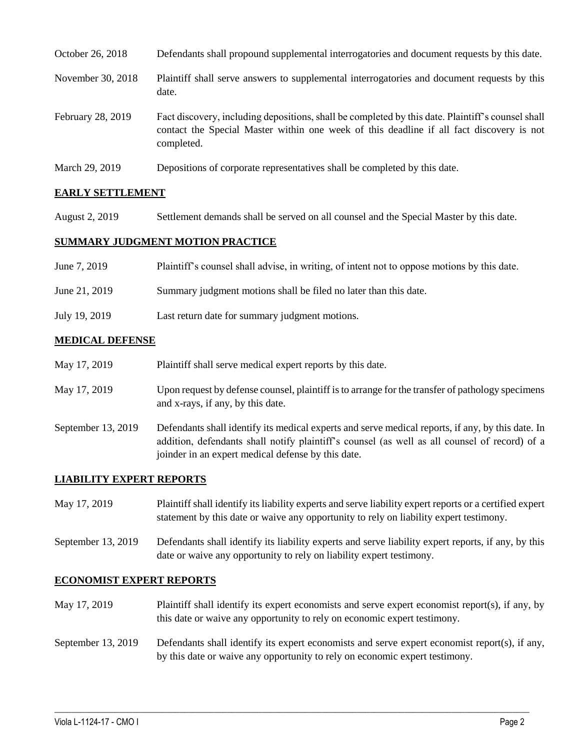| October 26, 2018  | Defendants shall propound supplemental interrogatories and document requests by this date.                                                                                                                  |
|-------------------|-------------------------------------------------------------------------------------------------------------------------------------------------------------------------------------------------------------|
| November 30, 2018 | Plaintiff shall serve answers to supplemental interrogatories and document requests by this<br>date.                                                                                                        |
| February 28, 2019 | Fact discovery, including depositions, shall be completed by this date. Plaintiff's counsel shall<br>contact the Special Master within one week of this deadline if all fact discovery is not<br>completed. |
| March 29, 2019    | Depositions of corporate representatives shall be completed by this date.                                                                                                                                   |

### **EARLY SETTLEMENT**

August 2, 2019 Settlement demands shall be served on all counsel and the Special Master by this date.

#### **SUMMARY JUDGMENT MOTION PRACTICE**

| June 7, 2019  | Plaintiff's counsel shall advise, in writing, of intent not to oppose motions by this date. |
|---------------|---------------------------------------------------------------------------------------------|
| June 21, 2019 | Summary judgment motions shall be filed no later than this date.                            |
| July 19, 2019 | Last return date for summary judgment motions.                                              |

### **MEDICAL DEFENSE**

| May 17, 2019       | Plaintiff shall serve medical expert reports by this date.                                                                                                                                                                                               |
|--------------------|----------------------------------------------------------------------------------------------------------------------------------------------------------------------------------------------------------------------------------------------------------|
| May 17, 2019       | Upon request by defense counsel, plaintiff is to arrange for the transfer of pathology specimens<br>and x-rays, if any, by this date.                                                                                                                    |
| September 13, 2019 | Defendants shall identify its medical experts and serve medical reports, if any, by this date. In<br>addition, defendants shall notify plaintiff's counsel (as well as all counsel of record) of a<br>joinder in an expert medical defense by this date. |

### **LIABILITY EXPERT REPORTS**

| May 17, 2019 | Plaintiff shall identify its liability experts and serve liability expert reports or a certified expert |
|--------------|---------------------------------------------------------------------------------------------------------|
|              | statement by this date or waive any opportunity to rely on liability expert testimony.                  |

September 13, 2019 Defendants shall identify its liability experts and serve liability expert reports, if any, by this date or waive any opportunity to rely on liability expert testimony.

### **ECONOMIST EXPERT REPORTS**

May 17, 2019 Plaintiff shall identify its expert economists and serve expert economist report(s), if any, by this date or waive any opportunity to rely on economic expert testimony.

### September 13, 2019 Defendants shall identify its expert economists and serve expert economist report(s), if any, by this date or waive any opportunity to rely on economic expert testimony.

 $\_$  ,  $\_$  ,  $\_$  ,  $\_$  ,  $\_$  ,  $\_$  ,  $\_$  ,  $\_$  ,  $\_$  ,  $\_$  ,  $\_$  ,  $\_$  ,  $\_$  ,  $\_$  ,  $\_$  ,  $\_$  ,  $\_$  ,  $\_$  ,  $\_$  ,  $\_$  ,  $\_$  ,  $\_$  ,  $\_$  ,  $\_$  ,  $\_$  ,  $\_$  ,  $\_$  ,  $\_$  ,  $\_$  ,  $\_$  ,  $\_$  ,  $\_$  ,  $\_$  ,  $\_$  ,  $\_$  ,  $\_$  ,  $\_$  ,